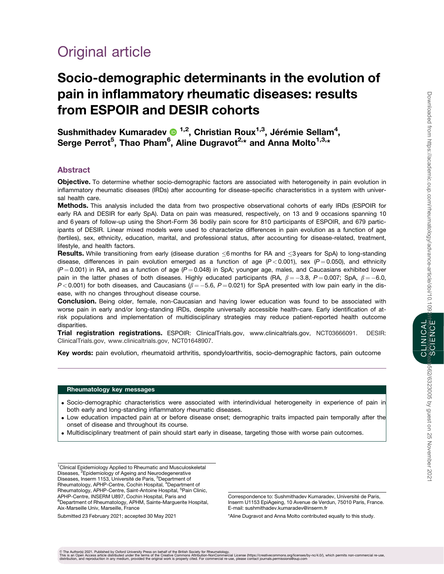CLINICAL

b562/6323005 by guest on 25 November 202

# Original article

# Socio-demographic determinants in the evolution of pain in inflammatory rheumatic diseases: results from ESPOIR and DESIR cohorts

Sushmithadev Kumaradev  $\bullet$  <sup>1,2</sup>, Christian Roux<sup>1,3</sup>, Jérémie Sellam<sup>4</sup>, Serge Perrot<sup>5</sup>, Thao Pham<sup>6</sup>, Aline Dugravot<sup>2,</sup>\* and Anna Molto<sup>1,3,</sup>\*

# Abstract

Objective. To determine whether socio-demographic factors are associated with heterogeneity in pain evolution in inflammatory rheumatic diseases (IRDs) after accounting for disease-specific characteristics in a system with universal health care.

Methods. This analysis included the data from two prospective observational cohorts of early IRDs (ESPOIR for early RA and DESIR for early SpA). Data on pain was measured, respectively, on 13 and 9 occasions spanning 10 and 6 years of follow-up using the Short-Form 36 bodily pain score for 810 participants of ESPOIR, and 679 participants of DESIR. Linear mixed models were used to characterize differences in pain evolution as a function of age (tertiles), sex, ethnicity, education, marital, and professional status, after accounting for disease-related, treatment, lifestyle, and health factors.

Results. While transitioning from early (disease duration  $\leq$ 6 months for RA and  $\leq$ 3 years for SpA) to long-standing disease, differences in pain evolution emerged as a function of age  $(P < 0.001)$ , sex  $(P = 0.050)$ , and ethnicity  $(P = 0.001)$  in RA, and as a function of age  $(P = 0.048)$  in SpA; younger age, males, and Caucasians exhibited lower pain in the latter phases of both diseases. Highly educated participants (RA,  $\beta = -3.8$ , P = 0.007; SpA,  $\beta = -6.0$ ,  $P < 0.001$ ) for both diseases, and Caucasians ( $\beta = -5.6$ ,  $P = 0.021$ ) for SpA presented with low pain early in the disease, with no changes throughout disease course.

**Conclusion.** Being older, female, non-Caucasian and having lower education was found to be associated with worse pain in early and/or long-standing IRDs, despite universally accessible health-care. Early identification of atrisk populations and implementation of multidisciplinary strategies may reduce patient-reported health outcome disparities.

Trial registration registrations. ESPOIR: ClinicalTrials.gov, [www.clinicaltrials.gov,](http://www.clinicaltrials.gov) NCT03666091. DESIR: ClinicalTrials.gov, [www.clinicaltrials.gov](http://www.clinicaltrials.gov), NCT01648907.

Key words: pain evolution, rheumatoid arthritis, spondyloarthritis, socio-demographic factors, pain outcome

#### Rheumatology key messages

- . Socio-demographic characteristics were associated with interindividual heterogeneity in experience of pain in both early and long-standing inflammatory rheumatic diseases.
- . Low education impacted pain at or before disease onset; demographic traits impacted pain temporally after the onset of disease and throughout its course.
- . Multidisciplinary treatment of pain should start early in disease, targeting those with worse pain outcomes.

<sup>1</sup>Clinical Epidemiology Applied to Rheumatic and Musculoskeletal<br>Diseases, <sup>2</sup>Epidemiology of Ageing and Neurodegenerative Diseases, Inserm 1153, Université de Paris, <sup>3</sup>Department of Rheumatology, APHP-Centre, Cochin Hospital, <sup>4</sup>Department of Rheumatology, APHP-Centre, Saint-Antoine Hospital, <sup>5</sup>Pain Clinic, APHP-Centre, INSERM U897, Cochin Hospital, Paris and 6 Department of Rheumatology, APHM, Sainte-Marguerite Hospital, Aix-Marseille Univ, Marseille, France

Submitted 23 February 2021; accepted 30 May 2021

Correspondence to: Sushmithadev Kumaradev, Université de Paris, Inserm U1153 EpiAgeing, 10 Avenue de Verdun, 75010 Paris, France. E-mail: sushmithadev.kumaradev@inserm.fr

\*Aline Dugravot and Anna Molto contributed equally to this study.

© The Author(s) 2021. Published by Oxford University Press on behalf of the British Society for Rheumatology.<br>This is an Open Access article distributed under the therms of the Creative Commons Attribution-NonCommercial r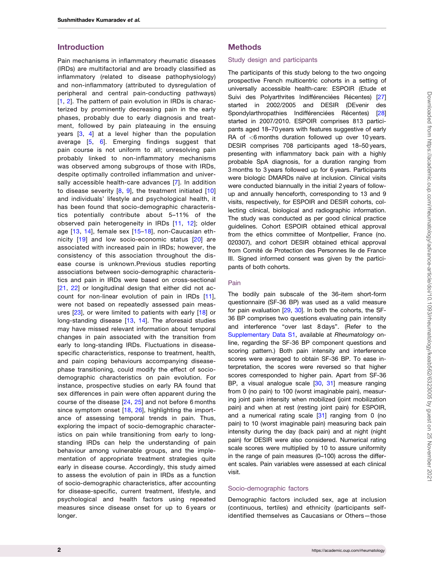# <span id="page-1-0"></span>Introduction

Pain mechanisms in inflammatory rheumatic diseases (IRDs) are multifactorial and are broadly classified as inflammatory (related to disease pathophysiology) and non-inflammatory (attributed to dysregulation of peripheral and central pain-conducting pathways) [[1,](#page-11-0) [2](#page-11-0)]. The pattern of pain evolution in IRDs is characterized by prominently decreasing pain in the early phases, probably due to early diagnosis and treatment, followed by pain plateauing in the ensuing years [[3](#page-11-0), [4](#page-11-0)] at a level higher than the population average [[5](#page-11-0), [6\]](#page-11-0). Emerging findings suggest that pain course is not uniform to all; unresolving pain probably linked to non-inflammatory mechanisms was observed among subgroups of those with IRDs, despite optimally controlled inflammation and universally accessible health-care advances [[7\]](#page-11-0). In addition to disease severity  $[8, 9]$  $[8, 9]$  $[8, 9]$  $[8, 9]$  $[8, 9]$ , the treatment initiated  $[10]$  $[10]$  $[10]$ and individuals' lifestyle and psychological health, it has been found that socio-demographic characteristics potentially contribute about 5–11% of the observed pain heterogeneity in IRDs [[11,](#page-12-0) [12\]](#page-12-0); older age [[13,](#page-12-0) [14\]](#page-12-0), female sex [[15–18\]](#page-12-0), non-Caucasian ethnicity [\[19](#page-12-0)] and low socio-economic status [[20](#page-12-0)] are associated with increased pain in IRDs; however, the consistency of this association throughout the disease course is unknown.Previous studies reporting associations between socio-demographic characteristics and pain in IRDs were based on cross-sectional [[21,](#page-12-0) [22\]](#page-12-0) or longitudinal design that either did not account for non-linear evolution of pain in IRDs [[11\]](#page-12-0), were not based on repeatedly assessed pain measures [[23\]](#page-12-0), or were limited to patients with early [\[18](#page-12-0)] or long-standing disease [[13](#page-12-0), [14\]](#page-12-0). The aforesaid studies may have missed relevant information about temporal changes in pain associated with the transition from early to long-standing IRDs. Fluctuations in diseasespecific characteristics, response to treatment, health, and pain coping behaviours accompanying diseasephase transitioning, could modify the effect of sociodemographic characteristics on pain evolution. For instance, prospective studies on early RA found that sex differences in pain were often apparent during the course of the disease [\[24](#page-12-0), [25](#page-12-0)] and not before 6 months since symptom onset [[18,](#page-12-0) [26](#page-12-0)], highlighting the importance of assessing temporal trends in pain. Thus, exploring the impact of socio-demographic characteristics on pain while transitioning from early to longstanding IRDs can help the understanding of pain behaviour among vulnerable groups, and the implementation of appropriate treatment strategies quite early in disease course. Accordingly, this study aimed to assess the evolution of pain in IRDs as a function of socio-demographic characteristics, after accounting for disease-specific, current treatment, lifestyle, and psychological and health factors using repeated measures since disease onset for up to 6 years or longer.

# Methods

#### Study design and participants

The participants of this study belong to the two ongoing prospective French multicentric cohorts in a setting of universally accessible health-care: ESPOIR (Etude et Suivi des Polyarthrites Indifférenciées Récentes) [\[27\]](#page-12-0) started in 2002/2005 and DESIR (DEvenir des Spondylarthropathies Indifférenciées Récentes) [\[28\]](#page-12-0) started in 2007/2010. ESPOIR comprises 813 participants aged 18–70 years with features suggestive of early RA of <6 months duration followed up over 10 years. DESIR comprises 708 participants aged 18–50 years, presenting with inflammatory back pain with a highly probable SpA diagnosis, for a duration ranging from 3 months to 3 years followed up for 6 years. Participants were biologic DMARDs naïve at inclusion. Clinical visits were conducted biannually in the initial 2 years of followup and annually henceforth, corresponding to 13 and 9 visits, respectively, for ESPOIR and DESIR cohorts, collecting clinical, biological and radiographic information. The study was conducted as per good clinical practice guidelines. Cohort ESPOIR obtained ethical approval from the ethics committee of Montpellier, France (no. 020307), and cohort DESIR obtained ethical approval from Comité de Protection des Personnes Ile de France III. Signed informed consent was given by the participants of both cohorts.

#### Pain

The bodily pain subscale of the 36-item short-form questionnaire (SF-36 BP) was used as a valid measure for pain evaluation [[29,](#page-12-0) [30](#page-12-0)]. In both the cohorts, the SF-36 BP comprises two questions evaluating pain intensity and interference "over last 8 days". (Refer to the [Supplementary Data S1,](https://academic.oup.com/rheumatology/article-lookup/doi/10.1093/rheumatology/keab562#supplementary-data) available at Rheumatology online, regarding the SF-36 BP component questions and scoring pattern.) Both pain intensity and interference scores were averaged to obtain SF-36 BP. To ease interpretation, the scores were reversed so that higher scores corresponded to higher pain. Apart from SF-36 BP, a visual analogue scale [\[30,](#page-12-0) [31](#page-12-0)] measure ranging from 0 (no pain) to 100 (worst imaginable pain), measuring joint pain intensity when mobilized (joint mobilization pain) and when at rest (resting joint pain) for ESPOIR, and a numerical rating scale [\[31](#page-12-0)] ranging from 0 (no pain) to 10 (worst imaginable pain) measuring back pain intensity during the day (back pain) and at night (night pain) for DESIR were also considered. Numerical rating scale scores were multiplied by 10 to assure uniformity in the range of pain measures (0–100) across the different scales. Pain variables were assessed at each clinical visit.

#### Socio-demographic factors

Demographic factors included sex, age at inclusion (continuous, tertiles) and ethnicity (participants selfidentified themselves as Caucasians or Others—those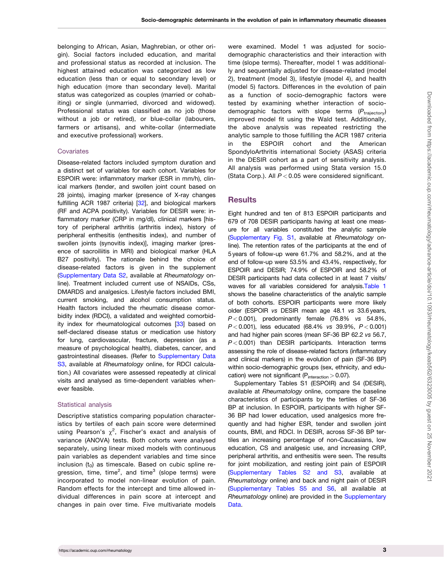<span id="page-2-0"></span>belonging to African, Asian, Maghrebian, or other origin). Social factors included education, and marital and professional status as recorded at inclusion. The highest attained education was categorized as low education (less than or equal to secondary level) or high education (more than secondary level). Marital status was categorized as couples (married or cohabiting) or single (unmarried, divorced and widowed). Professional status was classified as no job (those without a job or retired), or blue-collar (labourers, farmers or artisans), and white-collar (intermediate and executive professional) workers.

#### **Covariates**

Disease-related factors included symptom duration and a distinct set of variables for each cohort. Variables for ESPOIR were: inflammatory marker (ESR in mm/h), clinical markers (tender, and swollen joint count based on 28 joints), imaging marker (presence of X-ray changes fulfilling ACR 1987 criteria) [\[32\]](#page-12-0), and biological markers (RF and ACPA positivity). Variables for DESIR were: inflammatory marker (CRP in mg/dl), clinical markers [history of peripheral arthritis (arthritis index), history of peripheral enthesitis (enthesitis index), and number of swollen joints (synovitis index)], imaging marker (presence of sacroiliitis in MRI) and biological marker (HLA B27 positivity). The rationale behind the choice of disease-related factors is given in the supplement ([Supplementary Data S2,](https://academic.oup.com/rheumatology/article-lookup/doi/10.1093/rheumatology/keab562#supplementary-data) available at Rheumatology online). Treatment included current use of NSAIDs, CSs, DMARDS and analgesics. Lifestyle factors included BMI, current smoking, and alcohol consumption status. Health factors included the rheumatic disease comorbidity index (RDCI), a validated and weighted comorbid-ity index for rheumatological outcomes [\[33\]](#page-12-0) based on self-declared disease status or medication use history for lung, cardiovascular, fracture, depression (as a measure of psychological health), diabetes, cancer, and gastrointestinal diseases. (Refer to [Supplementary Data](https://academic.oup.com/rheumatology/article-lookup/doi/10.1093/rheumatology/keab562#supplementary-data) [S3,](https://academic.oup.com/rheumatology/article-lookup/doi/10.1093/rheumatology/keab562#supplementary-data) available at Rheumatology online, for RDCI calculation.) All covariates were assessed repeatedly at clinical visits and analysed as time-dependent variables whenever feasible.

#### Statistical analysis

Descriptive statistics comparing population characteristics by tertiles of each pain score were determined using Pearson's  $\chi^2$ , Fischer's exact and analysis of variance (ANOVA) tests. Both cohorts were analysed separately, using linear mixed models with continuous pain variables as dependent variables and time since inclusion  $(t_0)$  as timescale. Based on cubic spline regression, time, time<sup>2</sup>, and time<sup>3</sup> (slope terms) were incorporated to model non-linear evolution of pain. Random effects for the intercept and time allowed individual differences in pain score at intercept and changes in pain over time. Five multivariate models

were examined. Model 1 was adjusted for sociodemographic characteristics and their interaction with time (slope terms). Thereafter, model 1 was additionally and sequentially adjusted for disease-related (model 2), treatment (model 3), lifestyle (model 4), and health (model 5) factors. Differences in the evolution of pain as a function of socio-demographic factors were tested by examining whether interaction of sociodemographic factors with slope terms  $(P_{\text{trajectory}})$ improved model fit using the Wald test. Additionally, the above analysis was repeated restricting the analytic sample to those fulfilling the ACR 1987 criteria in the ESPOIR cohort and the American SpondyloArthritis international Society (ASAS) criteria in the DESIR cohort as a part of sensitivity analysis. All analysis was performed using Stata version 15.0 (Stata Corp.). All  $P < 0.05$  were considered significant.

#### **Results**

Eight hundred and ten of 813 ESPOIR participants and 679 of 708 DESIR participants having at least one measure for all variables constituted the analytic sample ([Supplementary Fig. S1,](https://academic.oup.com/rheumatology/article-lookup/doi/10.1093/rheumatology/keab562#supplementary-data) available at Rheumatology online). The retention rates of the participants at the end of 5 years of follow-up were 61.7% and 58.2%, and at the end of follow-up were 53.5% and 43.4%, respectively, for ESPOIR and DESIR; 74.9% of ESPOIR and 58.2% of DESIR participants had data collected in at least 7 visits/ waves for all variables considered for analysis.[Table 1](#page-3-0) shows the baseline characteristics of the analytic sample of both cohorts. ESPOIR participants were more likely older (ESPOIR vs DESIR mean age 48.1 vs 33.6 years,  $P < 0.001$ ), predominantly female (76.8% vs 54.8%,  $P < 0.001$ ), less educated (68.4% vs 39.9%,  $P < 0.001$ ) and had higher pain scores (mean SF-36 BP 62.2 vs 56.7,  $P < 0.001$ ) than DESIR participants. Interaction terms assessing the role of disease-related factors (inflammatory and clinical markers) in the evolution of pain (SF-36 BP) within socio-demographic groups (sex, ethnicity, and education) were not significant ( $P_{interaction} > 0.07$ ).

Supplementary Tables S1 (ESPOIR) and S4 (DESIR), available at Rheumatology online, compare the baseline characteristics of participants by the tertiles of SF-36 BP at inclusion. In ESPOIR, participants with higher SF-36 BP had lower education, used analgesics more frequently and had higher ESR, tender and swollen joint counts, BMI, and RDCI. In DESIR, across SF-36 BP tertiles an increasing percentage of non-Caucasians, low education, CS and analgesic use, and increasing CRP, peripheral arthritis, and enthesitis were seen. The results for joint mobilization, and resting joint pain of ESPOIR ([Supplementary Tables S2 and S3](https://academic.oup.com/rheumatology/article-lookup/doi/10.1093/rheumatology/keab562#supplementary-data), available at Rheumatology online) and back and night pain of DESIR ([Supplementary Tables S5 and S6](https://academic.oup.com/rheumatology/article-lookup/doi/10.1093/rheumatology/keab562#supplementary-data), all available at Rheumatology online) are provided in the [Supplementary](https://academic.oup.com/rheumatology/article-lookup/doi/10.1093/rheumatology/keab562#supplementary-data) [Data.](https://academic.oup.com/rheumatology/article-lookup/doi/10.1093/rheumatology/keab562#supplementary-data)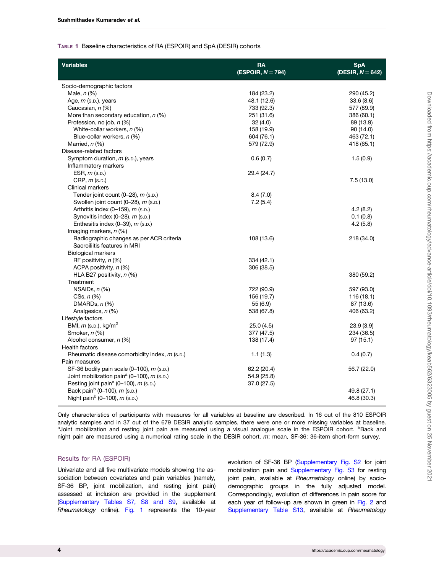#### <span id="page-3-0"></span>TABLE 1 Baseline characteristics of RA (ESPOIR) and SpA (DESIR) cohorts

| <b>Variables</b>                                       | <b>RA</b><br>(ESPOIR, $N = 794$ ) | <b>SpA</b><br>(DESIR, $N = 642$ ) |
|--------------------------------------------------------|-----------------------------------|-----------------------------------|
| Socio-demographic factors                              |                                   |                                   |
| Male, $n$ $(\%)$                                       | 184 (23.2)                        | 290 (45.2)                        |
| Age, m (s.p.), years                                   | 48.1 (12.6)                       | 33.6(8.6)                         |
| Caucasian, n (%)                                       | 733 (92.3)                        | 577 (89.9)                        |
| More than secondary education, $n$ (%)                 | 251 (31.6)                        | 386 (60.1)                        |
| Profession, no job, n (%)                              | 32(4.0)                           | 89 (13.9)                         |
| White-collar workers, $n$ (%)                          | 158 (19.9)                        | 90 (14.0)                         |
| Blue-collar workers, n (%)                             | 604 (76.1)                        | 463 (72.1)                        |
| Married, n (%)                                         | 579 (72.9)                        | 418 (65.1)                        |
| Disease-related factors                                |                                   |                                   |
| Symptom duration, <i>m</i> (s.p.), years               | 0.6(0.7)                          | 1.5(0.9)                          |
| Inflammatory markers                                   |                                   |                                   |
| ESR, $m$ (s.p.)                                        | 29.4 (24.7)                       |                                   |
| $CRP, m$ (s.p.)                                        |                                   | 7.5(13.0)                         |
| <b>Clinical markers</b>                                |                                   |                                   |
| Tender joint count $(0-28)$ , m $(s.b.)$               | 8.4(7.0)                          |                                   |
| Swollen joint count $(0-28)$ , m $(s.b.)$              | 7.2(5.4)                          |                                   |
| Arthritis index $(0-159)$ , m $(s.b.)$                 |                                   | 4.2(8.2)                          |
| Synovitis index $(0-28)$ , m $(s.p.)$                  |                                   | 0.1(0.8)                          |
| Enthesitis index (0-39), m (s.p.)                      |                                   | 4.2(5.8)                          |
| Imaging markers, $n$ (%)                               |                                   |                                   |
| Radiographic changes as per ACR criteria               | 108 (13.6)                        | 218 (34.0)                        |
| Sacroiliitis features in MRI                           |                                   |                                   |
| <b>Biological markers</b>                              |                                   |                                   |
| RF positivity, $n$ (%)                                 | 334 (42.1)                        |                                   |
| ACPA positivity, n (%)                                 | 306 (38.5)                        |                                   |
| HLA B27 positivity, $n$ (%)                            |                                   | 380 (59.2)                        |
| Treatment                                              |                                   |                                   |
|                                                        |                                   |                                   |
| NSAIDs, $n$ $%$                                        | 722 (90.9)                        | 597 (93.0)                        |
| $CSs, n (\%)$                                          | 156 (19.7)                        | 116(18.1)                         |
| DMARDs, $n$ $%$                                        | 55(6.9)                           | 87 (13.6)                         |
| Analgesics, n (%)                                      | 538 (67.8)                        | 406 (63.2)                        |
| Lifestyle factors                                      |                                   |                                   |
| BMI, $m$ (s.p.), kg/m <sup>2</sup>                     | 25.0(4.5)                         | 23.9(3.9)                         |
| Smoker, n (%)                                          | 377 (47.5)                        | 234 (36.5)                        |
| Alcohol consumer, n (%)                                | 138 (17.4)                        | 97(15.1)                          |
| <b>Health factors</b>                                  |                                   |                                   |
| Rheumatic disease comorbidity index, m (s.p.)          | 1.1(1.3)                          | 0.4(0.7)                          |
| Pain measures                                          |                                   |                                   |
| SF-36 bodily pain scale $(0-100)$ , $m$ (s.p.)         | 62.2 (20.4)                       | 56.7 (22.0)                       |
| Joint mobilization pain <sup>a</sup> (0-100), m (s.p.) | 54.9 (25.8)                       |                                   |
| Resting joint pain <sup>a</sup> (0-100), m (s.p.)      | 37.0 (27.5)                       |                                   |
| Back pain <sup>b</sup> (0-100), $m$ (s.p.)             |                                   | 49.8 (27.1)                       |
| Night pain <sup>b</sup> (0-100), m (s.p.)              |                                   | 46.8 (30.3)                       |
|                                                        |                                   |                                   |

Only characteristics of participants with measures for all variables at baseline are described. In 16 out of the 810 ESPOIR analytic samples and in 37 out of the 679 DESIR analytic samples, there were one or more missing variables at baseline. <sup>a</sup>Joint mobilization and resting joint pain are measured using a visual analogue scale in the ESPOIR cohort. <sup>b</sup>Back and night pain are measured using a numerical rating scale in the DESIR cohort. m: mean, SF-36: 36-item short-form survey.

#### Results for RA (ESPOIR)

Univariate and all five multivariate models showing the association between covariates and pain variables (namely, SF-36 BP, joint mobilization, and resting joint pain) assessed at inclusion are provided in the supplement [\(Supplementary Tables S7, S8 and S9](https://academic.oup.com/rheumatology/article-lookup/doi/10.1093/rheumatology/keab562#supplementary-data), available at Rheumatology online). [Fig. 1](#page-4-0) represents the 10-year evolution of SF-36 BP ([Supplementary Fig. S2](https://academic.oup.com/rheumatology/article-lookup/doi/10.1093/rheumatology/keab562#supplementary-data) for joint mobilization pain and [Supplementary Fig. S3](https://academic.oup.com/rheumatology/article-lookup/doi/10.1093/rheumatology/keab562#supplementary-data) for resting joint pain, available at Rheumatology online) by sociodemographic groups in the fully adjusted model. Correspondingly, evolution of differences in pain score for each year of follow-up are shown in green in [Fig. 2](#page-5-0) and [Supplementary Table S13](https://academic.oup.com/rheumatology/article-lookup/doi/10.1093/rheumatology/keab562#supplementary-data), available at Rheumatology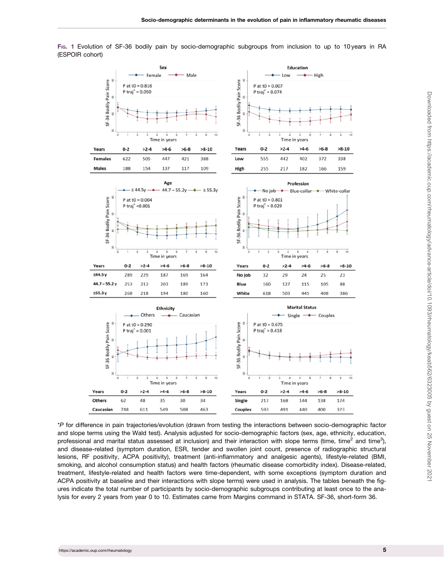<span id="page-4-0"></span>FIG. 1 Evolution of SF-36 bodily pain by socio-demographic subgroups from inclusion to up to 10 years in RA (ESPOIR cohort)



\*P for difference in pain trajectories/evolution (drawn from testing the interactions between socio-demographic factor and slope terms using the Wald test). Analysis adjusted for socio-demographic factors (sex, age, ethnicity, education, professional and marital status assessed at inclusion) and their interaction with slope terms (time, time<sup>2</sup> and time<sup>3</sup>), and disease-related (symptom duration, ESR, tender and swollen joint count, presence of radiographic structural lesions, RF positivity, ACPA positivity), treatment (anti-inflammatory and analgesic agents), lifestyle-related (BMI, smoking, and alcohol consumption status) and health factors (rheumatic disease comorbidity index). Disease-related, treatment, lifestyle-related and health factors were time-dependent, with some exceptions (symptom duration and ACPA positivity at baseline and their interactions with slope terms) were used in analysis. The tables beneath the figures indicate the total number of participants by socio-demographic subgroups contributing at least once to the analysis for every 2 years from year 0 to 10. Estimates came from Margins command in STATA. SF-36, short-form 36.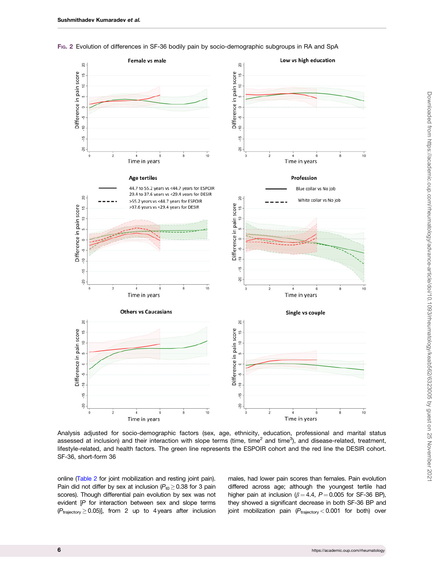<span id="page-5-0"></span>FIG. 2 Evolution of differences in SF-36 bodily pain by socio-demographic subgroups in RA and SpA



Analysis adjusted for socio-demographic factors (sex, age, ethnicity, education, professional and marital status assessed at inclusion) and their interaction with slope terms (time, time<sup>2</sup> and time<sup>3</sup>), and disease-related, treatment, lifestyle-related, and health factors. The green line represents the ESPOIR cohort and the red line the DESIR cohort. SF-36, short-form 36

online [\(Table 2](#page-6-0) for joint mobilization and resting joint pain). Pain did not differ by sex at inclusion ( $P_{t0} \ge 0.38$  for 3 pain scores). Though differential pain evolution by sex was not evident [P for interaction between sex and slope terms  $(P_{\text{trajectory}} \ge 0.05)$ ], from 2 up to 4 years after inclusion males, had lower pain scores than females. Pain evolution differed across age; although the youngest tertile had higher pain at inclusion ( $\beta = 4.4$ ,  $P = 0.005$  for SF-36 BP), they showed a significant decrease in both SF-36 BP and joint mobilization pain  $(P_{\text{trajectory}} < 0.001$  for both) over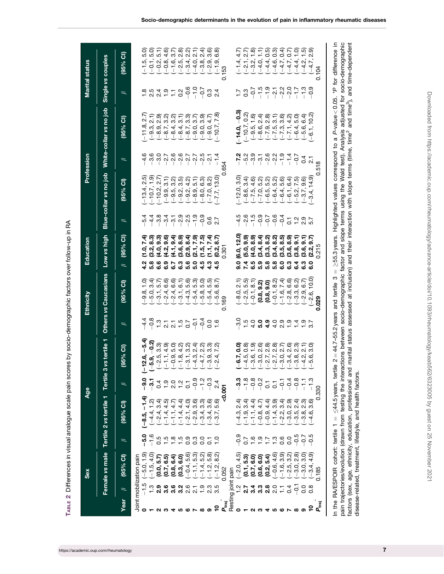<span id="page-6-0"></span>

|                   | Sex                                                                                                                                                                                                                                                                                                                                |                |                                    | <b>Age</b>              |                                                                                                                                                                                                                                                                                                                                                                                                       |                       | Ethnicity                                                         | Education                                                                                                  |                    |                                                                                                                                                                                                                                                                                                                                                                                                                                                                                               | Profession                               |                                                                                           |                                                                                                                                                                                                                                | <b>Marital status</b>                                                                                                                                                                                                                                                                                                                                                                                                                                                       |
|-------------------|------------------------------------------------------------------------------------------------------------------------------------------------------------------------------------------------------------------------------------------------------------------------------------------------------------------------------------|----------------|------------------------------------|-------------------------|-------------------------------------------------------------------------------------------------------------------------------------------------------------------------------------------------------------------------------------------------------------------------------------------------------------------------------------------------------------------------------------------------------|-----------------------|-------------------------------------------------------------------|------------------------------------------------------------------------------------------------------------|--------------------|-----------------------------------------------------------------------------------------------------------------------------------------------------------------------------------------------------------------------------------------------------------------------------------------------------------------------------------------------------------------------------------------------------------------------------------------------------------------------------------------------|------------------------------------------|-------------------------------------------------------------------------------------------|--------------------------------------------------------------------------------------------------------------------------------------------------------------------------------------------------------------------------------|-----------------------------------------------------------------------------------------------------------------------------------------------------------------------------------------------------------------------------------------------------------------------------------------------------------------------------------------------------------------------------------------------------------------------------------------------------------------------------|
|                   | Female vs male                                                                                                                                                                                                                                                                                                                     |                | Tertile 2 vs tertile 1             | Tertile <sub>3</sub>    | vs tertile 1                                                                                                                                                                                                                                                                                                                                                                                          |                       | Others vs Caucasians                                              | Low vs high                                                                                                |                    | Blue-collar vs no job                                                                                                                                                                                                                                                                                                                                                                                                                                                                         |                                          | White-collar vs no job                                                                    |                                                                                                                                                                                                                                | Single vs couples                                                                                                                                                                                                                                                                                                                                                                                                                                                           |
| Year              | (95% CI)<br>$\beta$                                                                                                                                                                                                                                                                                                                | $\beta$        | (95% CI)                           | $^{\circ}$              | 95% CI)                                                                                                                                                                                                                                                                                                                                                                                               | $\beta$               | (95% CI)                                                          | $(95%$ CI)<br>$\beta$                                                                                      | $\mathscr{C}$      | (95% CI)                                                                                                                                                                                                                                                                                                                                                                                                                                                                                      | $^{\circ}$                               | (95% CI)                                                                                  | $\beta$                                                                                                                                                                                                                        | $(95%$ CI)                                                                                                                                                                                                                                                                                                                                                                                                                                                                  |
|                   | Joint mobilization pain                                                                                                                                                                                                                                                                                                            |                |                                    |                         |                                                                                                                                                                                                                                                                                                                                                                                                       |                       |                                                                   |                                                                                                            |                    |                                                                                                                                                                                                                                                                                                                                                                                                                                                                                               |                                          |                                                                                           |                                                                                                                                                                                                                                |                                                                                                                                                                                                                                                                                                                                                                                                                                                                             |
| 0                 | $(-5.0, 1.9)$                                                                                                                                                                                                                                                                                                                      | c.g            | $-1.4$<br>$-8.5,$                  |                         | $-5.4$<br>2.6,<br>I                                                                                                                                                                                                                                                                                                                                                                                   |                       |                                                                   | .o.<br>드                                                                                                   | $-5.4$             | 2.5)<br>$(-13.4,$                                                                                                                                                                                                                                                                                                                                                                                                                                                                             | ဖ<br>4                                   | $(-11.8$                                                                                  |                                                                                                                                                                                                                                | ට<br>ιo.                                                                                                                                                                                                                                                                                                                                                                                                                                                                    |
|                   | $(-1.5, 4.0)$                                                                                                                                                                                                                                                                                                                      | $-1.6$         | $(-4.4, 1.2)$                      |                         |                                                                                                                                                                                                                                                                                                                                                                                                       |                       |                                                                   | 8.3)<br>(3.2,                                                                                              | $-4.4$             | $(-10.7, 1.9)$                                                                                                                                                                                                                                                                                                                                                                                                                                                                                | ဖ<br>က                                   |                                                                                           |                                                                                                                                                                                                                                |                                                                                                                                                                                                                                                                                                                                                                                                                                                                             |
|                   | $(0.0, 5.7)$<br>$(0.7, 6.5)$<br>$(0.8, 6.4)$                                                                                                                                                                                                                                                                                       |                | $(-2.4, 3.4)$                      | $\overline{0}$          |                                                                                                                                                                                                                                                                                                                                                                                                       |                       |                                                                   |                                                                                                            |                    | $(-10.2, 2.7)$                                                                                                                                                                                                                                                                                                                                                                                                                                                                                |                                          |                                                                                           |                                                                                                                                                                                                                                |                                                                                                                                                                                                                                                                                                                                                                                                                                                                             |
|                   |                                                                                                                                                                                                                                                                                                                                    |                | $(-1.4, 4.5)$                      |                         |                                                                                                                                                                                                                                                                                                                                                                                                       |                       |                                                                   |                                                                                                            |                    |                                                                                                                                                                                                                                                                                                                                                                                                                                                                                               |                                          |                                                                                           |                                                                                                                                                                                                                                |                                                                                                                                                                                                                                                                                                                                                                                                                                                                             |
|                   |                                                                                                                                                                                                                                                                                                                                    |                | $(-1.1, 4.7)$                      | $\frac{0}{2}$ 0         |                                                                                                                                                                                                                                                                                                                                                                                                       |                       |                                                                   |                                                                                                            |                    |                                                                                                                                                                                                                                                                                                                                                                                                                                                                                               |                                          |                                                                                           |                                                                                                                                                                                                                                |                                                                                                                                                                                                                                                                                                                                                                                                                                                                             |
| ഥ                 | (0.3, 6.0)<br>$\frac{16}{1}$ $\frac{3}{1}$ $\frac{3}{1}$ $\frac{3}{1}$ $\frac{3}{1}$ $\frac{3}{1}$ $\frac{3}{1}$ $\frac{3}{1}$ $\frac{3}{1}$ $\frac{3}{1}$ $\frac{3}{1}$ $\frac{3}{1}$ $\frac{3}{1}$ $\frac{3}{1}$ $\frac{3}{1}$ $\frac{3}{1}$ $\frac{3}{1}$ $\frac{3}{1}$ $\frac{3}{1}$ $\frac{3}{1}$ $\frac{3}{1}$ $\frac{3}{1}$ |                | $-1.4, 4.4$                        | $\frac{2}{1}$           | $Q_1$<br>$Q_2$<br>$Q_3$<br>$Q_4$<br>$Q_5$<br>$Q_6$<br>$Q_7$<br>$Q_8$<br>$Q_9$<br>$Q_9$<br>$Q_1$<br>$Q_2$<br>$Q_3$<br>$Q_4$<br>$Q_5$<br>$Q_6$<br>$Q_7$<br>$Q_8$<br>$Q_7$<br>$Q_8$<br>$Q_9$<br>$Q_9$<br>$Q_9$<br>$Q_9$<br>$Q_9$<br>$Q_9$<br>$Q_9$<br>$Q_9$<br>$Q_9$<br>$Q_9$<br>$Q_9$<br>$Q_9$                                                                                                          |                       |                                                                   | $(4.0, 9.3)$<br>$(4.2, 9.6)$<br>$(4.1, 9.4)$<br>$(3.6, 8.9)$<br>4 n 0 0 0 0 0 n 0 4<br>4 n 0 0 0 0 0 n 0 4 |                    |                                                                                                                                                                                                                                                                                                                                                                                                                                                                                               | 0.7607<br>T                              | 2<br>คือ สุ สุ 5 ชิ 6 5 6 6 7<br>5 7 สุ 5 7 7 8 7 8 7                                     |                                                                                                                                                                                                                                | ดิ ภิ ๊ด ภิ ดิ ญิ ภิ สุ ๊ด ๊ด<br>เ ๋ เ ๋ ๋ ฺ ๋ ี่ ๓ํ ณํ ณํ ณํ ณํ ๗ํ ๗ํ<br>$\begin{array}{l} {\bf r_0} \hskip -2.5pt {\bf r_1} \hskip -2.5pt {\bf r_2} \hskip -2.5pt {\bf r_3} \hskip -2.5pt {\bf r_4} \hskip -2.5pt {\bf r_5} \hskip -2.5pt {\bf r_6} \hskip -2.5pt {\bf r_7} \hskip -2.5pt {\bf r_8} \hskip -2.5pt {\bf r_9} \hskip -2.5pt {\bf r_1} \hskip -2.5pt {\bf r_2} \hskip -2.5pt {\bf r_6} \hskip -2.5pt {\bf r_7} \hskip -2.5pt {\bf r_8} \hskip -2.5pt {\bf r$ |
| ఴ                 | $(-0.4, 5.6)$                                                                                                                                                                                                                                                                                                                      |                | $-2.1, 4.0$                        | $\overline{c}$          |                                                                                                                                                                                                                                                                                                                                                                                                       |                       |                                                                   | $(2.9, 8.4)$<br>$(2.1, 7.9)$<br>$(1.5, 7.5)$                                                               |                    |                                                                                                                                                                                                                                                                                                                                                                                                                                                                                               | $\mathsf I$                              |                                                                                           |                                                                                                                                                                                                                                |                                                                                                                                                                                                                                                                                                                                                                                                                                                                             |
|                   | $(-1.1, 5.3)$<br>$(-1.4, 5.2)$                                                                                                                                                                                                                                                                                                     |                | $-2.9,$                            | $-0.9$                  |                                                                                                                                                                                                                                                                                                                                                                                                       |                       |                                                                   |                                                                                                            |                    |                                                                                                                                                                                                                                                                                                                                                                                                                                                                                               | 2.5<br>2.9                               |                                                                                           |                                                                                                                                                                                                                                |                                                                                                                                                                                                                                                                                                                                                                                                                                                                             |
| ∞                 | $\frac{0}{1}$                                                                                                                                                                                                                                                                                                                      | So             | $-3.4$                             | $-1.2$                  |                                                                                                                                                                                                                                                                                                                                                                                                       |                       |                                                                   |                                                                                                            |                    |                                                                                                                                                                                                                                                                                                                                                                                                                                                                                               | 1                                        |                                                                                           |                                                                                                                                                                                                                                |                                                                                                                                                                                                                                                                                                                                                                                                                                                                             |
| စ                 | $-1.2, 5.8$<br>2.3                                                                                                                                                                                                                                                                                                                 | $\overline{c}$ | 3.6<br>$-3.4$                      | $-0.3$                  |                                                                                                                                                                                                                                                                                                                                                                                                       | 0.0                   |                                                                   | (1.1, 7.4)<br>4.3                                                                                          | 0.6                |                                                                                                                                                                                                                                                                                                                                                                                                                                                                                               | $\mathbf{a}$<br>$\overline{\phantom{a}}$ |                                                                                           | $0.\overline{4}$                                                                                                                                                                                                               |                                                                                                                                                                                                                                                                                                                                                                                                                                                                             |
| ٩                 | 8.2<br>$(-1.2,$<br>3.5                                                                                                                                                                                                                                                                                                             | $\frac{1}{2}$  | ์ 6.6<br>5.0<br>3.7                | 2.4                     |                                                                                                                                                                                                                                                                                                                                                                                                       |                       |                                                                   | 8.7<br>(0.2,<br>4.5                                                                                        | 2.7                |                                                                                                                                                                                                                                                                                                                                                                                                                                                                                               | 4                                        |                                                                                           |                                                                                                                                                                                                                                |                                                                                                                                                                                                                                                                                                                                                                                                                                                                             |
| raj<br>P          | 0.052                                                                                                                                                                                                                                                                                                                              |                |                                    | $-0.007$                |                                                                                                                                                                                                                                                                                                                                                                                                       |                       |                                                                   | $-301$                                                                                                     |                    |                                                                                                                                                                                                                                                                                                                                                                                                                                                                                               | 654                                      |                                                                                           |                                                                                                                                                                                                                                | 0.153                                                                                                                                                                                                                                                                                                                                                                                                                                                                       |
|                   | Resting joint pain                                                                                                                                                                                                                                                                                                                 |                |                                    |                         |                                                                                                                                                                                                                                                                                                                                                                                                       |                       |                                                                   |                                                                                                            |                    |                                                                                                                                                                                                                                                                                                                                                                                                                                                                                               |                                          |                                                                                           |                                                                                                                                                                                                                                |                                                                                                                                                                                                                                                                                                                                                                                                                                                                             |
| 0                 | $(-2.0, 4.5)$                                                                                                                                                                                                                                                                                                                      | $\frac{5}{6}$  | 2.4<br>4.3,                        |                         |                                                                                                                                                                                                                                                                                                                                                                                                       | <u>ာ</u>              |                                                                   | (6.0, 12.0<br>9.0                                                                                          |                    | $-12.0, 3.0$                                                                                                                                                                                                                                                                                                                                                                                                                                                                                  |                                          | $-14.0, -0.3$                                                                             |                                                                                                                                                                                                                                |                                                                                                                                                                                                                                                                                                                                                                                                                                                                             |
|                   |                                                                                                                                                                                                                                                                                                                                    |                | $(-1.9, 3.4)$                      | $-1.8$                  |                                                                                                                                                                                                                                                                                                                                                                                                       | 1.5                   | $(-8.0, 2.1)$<br>$(-2.5, 5.5)$<br>$(-0.1, 8.1)$                   |                                                                                                            |                    |                                                                                                                                                                                                                                                                                                                                                                                                                                                                                               |                                          | $(-10.7, 0.2)$                                                                            | $\frac{7}{0}$ 3                                                                                                                                                                                                                |                                                                                                                                                                                                                                                                                                                                                                                                                                                                             |
|                   | $(0.1, 5.3)$<br>$(0.7, 6.0)$<br>$(0.6, 6.0)$<br>$(0.2, 5.4)$<br>1213200<br>12132000                                                                                                                                                                                                                                                | 0.599799       | $(-1.1, 4.4)$<br>$(-0.8, 4.7)$     | $-0.8$<br>$-0.2$        | $\sigma$<br>$\sigma$ $\sigma$ $\sigma$ $\sigma$ $\sigma$ $\sigma$ $\sigma$ $\tau$ $\sigma$ $\sigma$ $\tau$ $\sigma$<br>$\sigma$ $\sigma$ $\sigma$ $\tau$ $\tau$ $\sigma$ $\sigma$ $\sigma$ $\tau$ $\sigma$<br>$\sigma$ $\sigma$ $\sigma$ $\sigma$ $\tau$ $\sigma$ $\sigma$ $\sigma$ $\sigma$<br>$\sigma$ $\sigma$ $\sigma$ $\sigma$<br>$\sigma$ $\sigma$ $\sigma$ $\sigma$ $\sigma$ $\sigma$ $\sigma$ | $0.0.000$<br>$0.0000$ |                                                                   | てんこうるいりょう しょうしょう しょうしょう                                                                                    |                    | $\begin{array}{l} \mathcal{A} \\ \mathcal{B} \\ \mathcal{C} \\ \mathcal{C} \\ \mathcal{C} \\ \mathcal{C} \\ \mathcal{C} \\ \mathcal{C} \\ \mathcal{C} \\ \mathcal{C} \\ \mathcal{C} \\ \mathcal{C} \\ \mathcal{C} \\ \mathcal{C} \\ \mathcal{C} \\ \mathcal{C} \\ \mathcal{C} \\ \mathcal{C} \\ \mathcal{C} \\ \mathcal{C} \\ \mathcal{C} \\ \mathcal{C} \\ \mathcal{C} \\ \mathcal{C} \\ \mathcal{C} \\ \mathcal{C} \\ \mathcal{C} \\ \mathcal{C} \\ \mathcal{C} \\ \mathcal{C} \\ \mathcal$ | 7.00000                                  |                                                                                           | $-0.75$ $-0.75$ $-0.75$ $-0.75$ $-0.75$ $-0.75$ $-0.75$ $-0.75$ $-0.75$ $-0.75$ $-0.75$ $-0.75$ $-0.75$ $-0.75$ $-0.75$ $-0.75$ $-0.75$ $-0.75$ $-0.75$ $-0.75$ $-0.75$ $-0.75$ $-0.75$ $-0.75$ $-0.75$ $-0.75$ $-0.75$ $-0.7$ | $\begin{array}{l} \left(-2,1,6\right) \\ -2,3,4,5 \\ \left(-4,4,6\right) \\ -4,4,4,5 \\ \left(-4,4,6\right) \\ \left(-4,4,6\right) \\ \left(-4,4,4\right) \\ \left(-4,4,4\right) \\ \left(-4,4,4\right) \\ \left(-4,4,5\right) \\ \left(-4,4,5\right) \\ \left(-4,4,5\right) \\ \left(-4,4,5\right) \\ \left(-4,4,5\right) \\ \left(-4,4,5\right) \\ \left(-4,4,5\right) \\ \left(-4,4,5\right) \\ \left(-4,4,5\right) \\ \left(-$                                          |
|                   |                                                                                                                                                                                                                                                                                                                                    |                |                                    |                         |                                                                                                                                                                                                                                                                                                                                                                                                       |                       | (0.8, 9.2)                                                        |                                                                                                            |                    |                                                                                                                                                                                                                                                                                                                                                                                                                                                                                               |                                          |                                                                                           |                                                                                                                                                                                                                                |                                                                                                                                                                                                                                                                                                                                                                                                                                                                             |
| ⅎ                 |                                                                                                                                                                                                                                                                                                                                    |                | $(-0.9, 4.4)$<br>$(-1.4, 3.9)$     | $\overline{c}$          |                                                                                                                                                                                                                                                                                                                                                                                                       |                       | (0.8, 9.0)                                                        |                                                                                                            |                    |                                                                                                                                                                                                                                                                                                                                                                                                                                                                                               | $-2.2$                                   |                                                                                           |                                                                                                                                                                                                                                |                                                                                                                                                                                                                                                                                                                                                                                                                                                                             |
| מי                | $(-0.6, 4.6)$                                                                                                                                                                                                                                                                                                                      |                |                                    | $\overline{c}$          |                                                                                                                                                                                                                                                                                                                                                                                                       |                       | $(-0.1, 8.2)$<br>$(-1.6, 7.4)$                                    |                                                                                                            |                    |                                                                                                                                                                                                                                                                                                                                                                                                                                                                                               |                                          |                                                                                           |                                                                                                                                                                                                                                |                                                                                                                                                                                                                                                                                                                                                                                                                                                                             |
|                   | Ξ                                                                                                                                                                                                                                                                                                                                  |                | 3.4                                | $\overline{5}$          |                                                                                                                                                                                                                                                                                                                                                                                                       |                       |                                                                   |                                                                                                            |                    |                                                                                                                                                                                                                                                                                                                                                                                                                                                                                               | $-1.9$                                   |                                                                                           |                                                                                                                                                                                                                                |                                                                                                                                                                                                                                                                                                                                                                                                                                                                             |
|                   | $\begin{array}{c} (-1.6, 3.9) \\ (-2.5, 3.2) \\ (-3.0, 2.8) \\ (-3.0, 3.0) \end{array}$<br>0.4                                                                                                                                                                                                                                     | 0.0            | ଚି <del>ବି</del> ଜି ଡି<br>ବି ବି ବି | $-0.4$                  |                                                                                                                                                                                                                                                                                                                                                                                                       | <u>ှ</u>              | $(-2.8, 6.6)$<br>$(-3.3, 6.2)$<br>$(-2.9, 6.7)$<br>$(-2.6, 10.0)$ | $(3.6, 8.9)$<br>$(3.8, 9.1)$                                                                               | $\overline{c}$     |                                                                                                                                                                                                                                                                                                                                                                                                                                                                                               | $-1.4$                                   |                                                                                           |                                                                                                                                                                                                                                |                                                                                                                                                                                                                                                                                                                                                                                                                                                                             |
| ത                 | $\overline{Q}$                                                                                                                                                                                                                                                                                                                     | $-0.5$         |                                    | $-0.8$                  |                                                                                                                                                                                                                                                                                                                                                                                                       | 1.4                   |                                                                   | 3<br>3<br>9<br>9<br>9<br>9<br>9<br>9<br>9<br>9<br>9<br>9<br>9<br>9<br>9<br>1<br>9<br>1<br>9                | $7.007$<br>$7.007$ | $(-5.2, 7.5)$<br>$(-3.7, 9.6)$                                                                                                                                                                                                                                                                                                                                                                                                                                                                | $-0.7$                                   |                                                                                           |                                                                                                                                                                                                                                |                                                                                                                                                                                                                                                                                                                                                                                                                                                                             |
| ග                 | $\overline{0}$                                                                                                                                                                                                                                                                                                                     | $-0.7$         |                                    | $\frac{1}{1}$           |                                                                                                                                                                                                                                                                                                                                                                                                       | $\frac{5}{1}$         |                                                                   | (3.6, 9.1)                                                                                                 |                    |                                                                                                                                                                                                                                                                                                                                                                                                                                                                                               | ु                                        |                                                                                           |                                                                                                                                                                                                                                |                                                                                                                                                                                                                                                                                                                                                                                                                                                                             |
| ុ                 | $\frac{6}{4}$<br>$-3.4$ .<br>$0.\overline{8}$                                                                                                                                                                                                                                                                                      | $-5$           |                                    |                         |                                                                                                                                                                                                                                                                                                                                                                                                       |                       | 10.0                                                              | 9.7)<br><u>(2.2,</u>                                                                                       |                    | $(-3.4, 14.9)$                                                                                                                                                                                                                                                                                                                                                                                                                                                                                | $\overline{\mathbf{c}}$                  | $(-6.1, 10.2)$                                                                            |                                                                                                                                                                                                                                | <u>့တ</u><br>N<br>$(-4.7,$                                                                                                                                                                                                                                                                                                                                                                                                                                                  |
| $P_{\text{traj}}$ | 0.18                                                                                                                                                                                                                                                                                                                               |                | 0                                  | 330                     |                                                                                                                                                                                                                                                                                                                                                                                                       |                       | 0.029                                                             | ഥ<br><u>ير</u>                                                                                             |                    |                                                                                                                                                                                                                                                                                                                                                                                                                                                                                               | $\infty$<br>5                            |                                                                                           |                                                                                                                                                                                                                                | 0.104                                                                                                                                                                                                                                                                                                                                                                                                                                                                       |
|                   | In the RA/ESPOIR cohort: tertile 1                                                                                                                                                                                                                                                                                                 |                |                                    | $<$ 44.5 vears. tertile |                                                                                                                                                                                                                                                                                                                                                                                                       |                       | $\mid \mid$<br>S<br>$2 = 44.7 - 55.2$ vears and tertile           |                                                                                                            |                    |                                                                                                                                                                                                                                                                                                                                                                                                                                                                                               |                                          | $>$ 55.3 vears. Highlighted values correspond to a P-value $<$ 0.05. *P for difference in |                                                                                                                                                                                                                                |                                                                                                                                                                                                                                                                                                                                                                                                                                                                             |

TABLE 2 Differences in visual analogue scale pain scores by socio-demographic factors over follow-up in RA TABLE 2 Differences in visual analogue scale pain scores by socio-demographic factors over follow-up in RA

pain trajectories/evolution (drawn from testing the interactions between socio-demographic factor and slope terms using the Wald test). Analysis adjusted for socio-demographic factors (sex, age, ethnicity, education, professional and marital status assessed at inclusion) and their interaction with slope terms (time, time2 and time3), and time-dependent P-value<0.05. \*P  $=$  44.7–55.2 years and tertile 3  $=$   $\geq$ 55.3 years. Highlighted values correspond to a 44.5 years, tertile 2 disease-related, treatment, lifestyle, and health factors. disease-related, treatment, lifestyle, and health factors. In the RA/ESPOIR cohort: tertile 1  $=$   $<$ 

Downloaded from https://academic.oup.com/rheumatology/advance-article/doi/10.1093/rheumatology/keab562/6323005 by guest on 25 November 2021 Downloaded from https://academic.oup.com/rheumatology/advance-article/doi/10.1093/rheumatology/keab562/6323005 by guest on 25 November 2021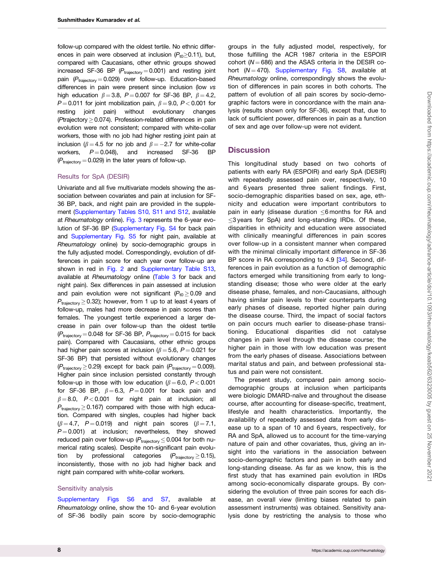<span id="page-7-0"></span>follow-up compared with the oldest tertile. No ethnic differences in pain were observed at inclusion  $(P_{t0}>0.11)$ , but, compared with Caucasians, other ethnic groups showed increased SF-36 BP  $(P_{\text{trajectory}} = 0.001)$  and resting joint pain  $(P_{\text{trajectory}} = 0.029)$  over follow-up. Education-based differences in pain were present since inclusion (low vs high education  $\beta = 3.8$ ,  $P = 0.007$  for SF-36 BP,  $\beta = 4.2$ ,  $P = 0.011$  for joint mobilization pain,  $\beta = 9.0$ ,  $P < 0.001$  for resting joint pain) without evolutionary changes (Ptrajectory  $> 0.074$ ). Profession-related differences in pain evolution were not consistent; compared with white-collar workers, those with no job had higher resting joint pain at inclusion ( $\beta = 4.5$  for no job and  $\beta = -2.7$  for white-collar workers,  $P = 0.048$ , and increased SF-36 BP  $(P_{\text{trajectory}} = 0.029)$  in the later years of follow-up.

#### Results for SpA (DESIR)

Univariate and all five multivariate models showing the association between covariates and pain at inclusion for SF-36 BP, back, and night pain are provided in the supplement [\(Supplementary Tables S10, S11 and S12,](https://academic.oup.com/rheumatology/article-lookup/doi/10.1093/rheumatology/keab562#supplementary-data) available at Rheumatology online). [Fig. 3](#page-8-0) represents the 6-year evolution of SF-36 BP [\(Supplementary Fig. S4](https://academic.oup.com/rheumatology/article-lookup/doi/10.1093/rheumatology/keab562#supplementary-data) for back pain and [Supplementary Fig. S5](https://academic.oup.com/rheumatology/article-lookup/doi/10.1093/rheumatology/keab562#supplementary-data) for night pain, available at Rheumatology online) by socio-demographic groups in the fully adjusted model. Correspondingly, evolution of differences in pain score for each year over follow-up are shown in red in [Fig. 2](#page-5-0) and [Supplementary Table S13](https://academic.oup.com/rheumatology/article-lookup/doi/10.1093/rheumatology/keab562#supplementary-data), available at Rheumatology online [\(Table 3](#page-9-0) for back and night pain). Sex differences in pain assessed at inclusion and pain evolution were not significant ( $P_{t0} \ge 0.09$  and  $P_{\text{trajectory}} \geq 0.32$ ); however, from 1 up to at least 4 years of follow-up, males had more decrease in pain scores than females. The youngest tertile experienced a larger decrease in pain over follow-up than the oldest tertile  $(P_{\text{trajectory}} = 0.048$  for SF-36 BP,  $P_{\text{trajectory}} = 0.015$  for back pain). Compared with Caucasians, other ethnic groups had higher pain scores at inclusion ( $\beta = 5.6$ ,  $P = 0.021$  for SF-36 BP) that persisted without evolutionary changes  $(P_{\text{trajectory}} \geq 0.29)$  except for back pain  $(P_{\text{trajectory}} = 0.009)$ . Higher pain since inclusion persisted constantly through follow-up in those with low education ( $\beta = 6.0$ ,  $P < 0.001$ ) for SF-36 BP,  $\beta = 6.3$ ,  $P = 0.001$  for back pain and  $\beta = 8.0$ , P < 0.001 for night pain at inclusion; all  $P_{\text{trajectory}} \geq 0.167$ ) compared with those with high education. Compared with singles, couples had higher back  $(\beta = 4.7, P = 0.019)$  and night pain scores  $(\beta = 7.1,$  $P = 0.001$ ) at inclusion; nevertheless, they showed reduced pain over follow-up ( $P_{\text{trajectory}}$   $\leq$  0.004 for both numerical rating scales). Despite non-significant pain evolution by professional categories  $(P_{\text{trajectory}} \geq 0.15)$ , inconsistently, those with no job had higher back and night pain compared with white-collar workers.

#### Sensitivity analysis

[Supplementary Figs S6 and S7](https://academic.oup.com/rheumatology/article-lookup/doi/10.1093/rheumatology/keab562#supplementary-data), available at Rheumatology online, show the 10- and 6-year evolution of SF-36 bodily pain score by socio-demographic groups in the fully adjusted model, respectively, for those fulfilling the ACR 1987 criteria in the ESPOIR cohort ( $N = 686$ ) and the ASAS criteria in the DESIR cohort ( $N = 470$ ). [Supplementary Fig. S8,](https://academic.oup.com/rheumatology/article-lookup/doi/10.1093/rheumatology/keab562#supplementary-data) available at Rheumatology online, correspondingly shows the evolution of differences in pain scores in both cohorts. The pattern of evolution of all pain scores by socio-demographic factors were in concordance with the main analysis (results shown only for SF-36), except that, due to lack of sufficient power, differences in pain as a function of sex and age over follow-up were not evident.

### **Discussion**

This longitudinal study based on two cohorts of patients with early RA (ESPOIR) and early SpA (DESIR) with repeatedly assessed pain over, respectively, 10 and 6 years presented three salient findings. First, socio-demographic disparities based on sex, age, ethnicity and education were important contributors to pain in early (disease duration  $\leq$ 6 months for RA and  $\leq$ 3 years for SpA) and long-standing IRDs. Of these, disparities in ethnicity and education were associated with clinically meaningful differences in pain scores over follow-up in a consistent manner when compared with the minimal clinically important difference in SF-36 BP score in RA corresponding to 4.9 [[34](#page-13-0)]. Second, differences in pain evolution as a function of demographic factors emerged while transitioning from early to longstanding disease; those who were older at the early disease phase, females, and non-Caucasians, although having similar pain levels to their counterparts during early phases of disease, reported higher pain during the disease course. Third, the impact of social factors on pain occurs much earlier to disease-phase transitioning. Educational disparities did not catalyse changes in pain level through the disease course; the higher pain in those with low education was present from the early phases of disease. Associations between marital status and pain, and between professional status and pain were not consistent.

The present study, compared pain among sociodemographic groups at inclusion when participants were biologic DMARD-naïve and throughout the disease course, after accounting for disease-specific, treatment, lifestyle and health characteristics. Importantly, the availability of repeatedly assessed data from early disease up to a span of 10 and 6 years, respectively, for RA and SpA, allowed us to account for the time-varying nature of pain and other covariates, thus, giving an insight into the variations in the association between socio-demographic factors and pain in both early and long-standing disease. As far as we know, this is the first study that has examined pain evolution in IRDs among socio-economically disparate groups. By considering the evolution of three pain scores for each disease, an overall view (limiting biases related to pain assessment instruments) was obtained. Sensitivity analysis done by restricting the analysis to those who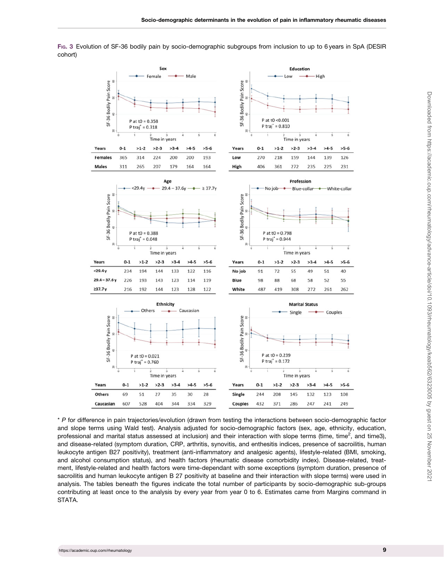<span id="page-8-0"></span>FIG. 3 Evolution of SF-36 bodily pain by socio-demographic subgroups from inclusion to up to 6 years in SpA (DESIR cohort)



\* P for difference in pain trajectories/evolution (drawn from testing the interactions between socio-demographic factor and slope terms using Wald test). Analysis adjusted for socio-demographic factors (sex, age, ethnicity, education, professional and marital status assessed at inclusion) and their interaction with slope terms (time, time<sup>2</sup>, and time3), and disease-related (symptom duration, CRP, arthritis, synovitis, and enthesitis indices, presence of sacroilitis, human leukocyte antigen B27 positivity), treatment (anti-inflammatory and analgesic agents), lifestyle-related (BMI, smoking, and alcohol consumption status), and health factors (rheumatic disease comorbidity index). Disease-related, treatment, lifestyle-related and health factors were time-dependant with some exceptions (symptom duration, presence of sacroilitis and human leukocyte antigen B 27 positivity at baseline and their interaction with slope terms) were used in analysis. The tables beneath the figures indicate the total number of participants by socio-demographic sub-groups contributing at least once to the analysis by every year from year 0 to 6. Estimates came from Margins command in STATA.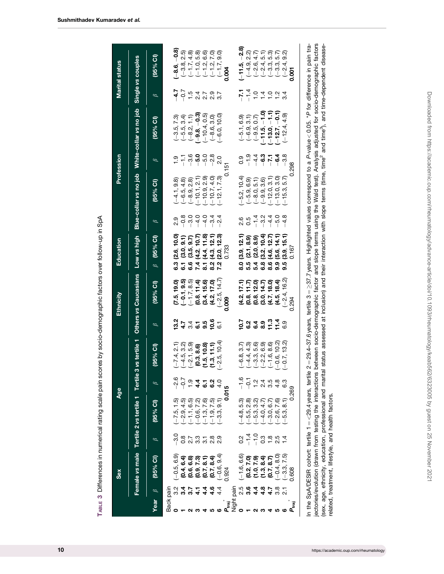<span id="page-9-0"></span>

|                                                                                                                                                                                                                                                                                           | Sex                                                                                                                                                                  |                              | Age                                                                                                                                                                                                                                                                                                                                                                                                                               |                     |                               |                                                      | Ethnicity                        | Education                                                                       |                                                                  |                                                    | Profession          |                                                                                       |                                                                                                                                                                                       | <b>Marital status</b>                                                                                                                |
|-------------------------------------------------------------------------------------------------------------------------------------------------------------------------------------------------------------------------------------------------------------------------------------------|----------------------------------------------------------------------------------------------------------------------------------------------------------------------|------------------------------|-----------------------------------------------------------------------------------------------------------------------------------------------------------------------------------------------------------------------------------------------------------------------------------------------------------------------------------------------------------------------------------------------------------------------------------|---------------------|-------------------------------|------------------------------------------------------|----------------------------------|---------------------------------------------------------------------------------|------------------------------------------------------------------|----------------------------------------------------|---------------------|---------------------------------------------------------------------------------------|---------------------------------------------------------------------------------------------------------------------------------------------------------------------------------------|--------------------------------------------------------------------------------------------------------------------------------------|
|                                                                                                                                                                                                                                                                                           |                                                                                                                                                                      |                              | Female vs male Tertile 2 vs tertile 1 Tertile 3 vs tertile 1                                                                                                                                                                                                                                                                                                                                                                      |                     |                               |                                                      | Others vs Caucasians Low vs high |                                                                                 |                                                                  | Blue-collar vs no job                              |                     | White-collar vs no job                                                                |                                                                                                                                                                                       | Single vs couples                                                                                                                    |
| Year                                                                                                                                                                                                                                                                                      | (95% Cl)                                                                                                                                                             |                              | $(95%$ CI)                                                                                                                                                                                                                                                                                                                                                                                                                        |                     | (95% CI)                      | $\beta$                                              | $(95%$ Cl)                       | $(95%$ Cl)<br>$\beta$                                                           | $\beta$                                                          | (95% C1)                                           | $\beta$             | (95% CI)                                                                              | $\beta$                                                                                                                                                                               | (95% CI)                                                                                                                             |
| Back pain                                                                                                                                                                                                                                                                                 |                                                                                                                                                                      |                              |                                                                                                                                                                                                                                                                                                                                                                                                                                   |                     |                               |                                                      |                                  |                                                                                 |                                                                  |                                                    |                     |                                                                                       |                                                                                                                                                                                       |                                                                                                                                      |
|                                                                                                                                                                                                                                                                                           | $[-0.5, 6.9]$                                                                                                                                                        | $-3.0$                       |                                                                                                                                                                                                                                                                                                                                                                                                                                   |                     | $(-7.4, 2.1)$                 |                                                      | (7.5, 19.0)                      | (2.6, 10.0)                                                                     | 2.9                                                              |                                                    |                     |                                                                                       | $-4.7$                                                                                                                                                                                | $[-8.6, -0.8]$                                                                                                                       |
|                                                                                                                                                                                                                                                                                           |                                                                                                                                                                      |                              |                                                                                                                                                                                                                                                                                                                                                                                                                                   | $\frac{1}{2}$       | $(-4.5, 3.2)$                 |                                                      | $(-0.1, 9.5)$                    |                                                                                 |                                                                  | $(-4.1, 9.8)$<br>$(-6.5, 4.8)$<br>$(-8.9, 2.8)$    | $-1.1$<br>$-3.6$    |                                                                                       |                                                                                                                                                                                       |                                                                                                                                      |
|                                                                                                                                                                                                                                                                                           |                                                                                                                                                                      |                              |                                                                                                                                                                                                                                                                                                                                                                                                                                   | $\frac{5}{1}$       | $(-2.1, 5.9)$                 |                                                      | $(-1.7, 8.5)$                    | 8 1 6 4 1<br>8 6 6 7 8                                                          | $\begin{array}{c}\n 0.000 \\  -0.0000 \\  +0.0000\n \end{array}$ |                                                    |                     | $(-3.5, 7.3)$<br>$(-5.5, 3.4)$<br>$(-8.2, 1.1)$                                       |                                                                                                                                                                                       |                                                                                                                                      |
|                                                                                                                                                                                                                                                                                           |                                                                                                                                                                      |                              |                                                                                                                                                                                                                                                                                                                                                                                                                                   | 4.4                 | (0.3, 8.6)                    |                                                      | (0.8, 11.4)                      |                                                                                 |                                                                  | $(-10.1, 2.1)$                                     | $-5.0$              | $(-9.8, -0.3)$                                                                        |                                                                                                                                                                                       |                                                                                                                                      |
|                                                                                                                                                                                                                                                                                           |                                                                                                                                                                      | 8 7 8 7 8 9<br>8 9 9 9 9 9 9 |                                                                                                                                                                                                                                                                                                                                                                                                                                   |                     | (1.5, 10.8)                   | 2<br>2 4 3 4 5 9 9 5<br>2 4 3 6 9 9 5                | (3.4, 15.6)                      |                                                                                 |                                                                  |                                                    | $-5.8$              | $(-10.4, 0.5)$                                                                        | ちょてのてい とうしょう                                                                                                                                                                          |                                                                                                                                      |
|                                                                                                                                                                                                                                                                                           |                                                                                                                                                                      |                              |                                                                                                                                                                                                                                                                                                                                                                                                                                   | <u>ი გე</u><br>დ. ვ | (1.3, 11.1)                   |                                                      | (4.2, 17.0)                      | 8.2<br>7.2                                                                      | $-3.4$<br>$-2.4$                                                 |                                                    |                     | $(-8.6, 3.0)$                                                                         |                                                                                                                                                                                       |                                                                                                                                      |
|                                                                                                                                                                                                                                                                                           |                                                                                                                                                                      |                              |                                                                                                                                                                                                                                                                                                                                                                                                                                   |                     | $-2.5, 10.4$                  |                                                      | $(-2.5, 14.7)$                   | $(3.0, 9.1)$<br>$(3.5, 9.7)$<br>$(4.2, 10.7)$<br>$(4.4, 11.8)$<br>$(4.4, 12.3)$ |                                                                  | $(-10.9, 2.9)$<br>$(-10.7, 4.0)$<br>$(-12.1, 7.3)$ |                     | $(-6.0, 10.0)$                                                                        |                                                                                                                                                                                       | $\begin{array}{c} (-3.8, 2.5) \\ (-1.7, 4.5) \\ (-1.7, 0.5) \\ (-1.2, 0.7) \\ (-1.2, 1.7) \\ (-1.7, 0.9) \end{array}$<br>$(-1.7, 3)$ |
| rai<br>L                                                                                                                                                                                                                                                                                  | $64$ , 6.4<br>$66$ , 6.7<br>$60$ , 6.7<br>$60$ , 6.7<br>$60$ , 6.9<br>$60$ , 6.9<br>$60$ , 6.9<br>$60$ , 6.9<br>$60$ , 6.9<br>$60$ , 6.9<br>$60$ , 6.9<br>$60$ , 6.9 |                              | 59                                                                                                                                                                                                                                                                                                                                                                                                                                | <u>၊</u> ဂ          |                               |                                                      | 0.009                            | 0.733                                                                           |                                                                  |                                                    | 0.151               |                                                                                       |                                                                                                                                                                                       | 0.004                                                                                                                                |
|                                                                                                                                                                                                                                                                                           |                                                                                                                                                                      |                              |                                                                                                                                                                                                                                                                                                                                                                                                                                   |                     |                               |                                                      |                                  |                                                                                 |                                                                  |                                                    |                     |                                                                                       |                                                                                                                                                                                       |                                                                                                                                      |
|                                                                                                                                                                                                                                                                                           |                                                                                                                                                                      |                              |                                                                                                                                                                                                                                                                                                                                                                                                                                   |                     | $(-6.8, 3.7)$                 |                                                      |                                  | (3.9, 12.1)                                                                     | 0.5<br>0.5                                                       |                                                    | 0.9                 |                                                                                       |                                                                                                                                                                                       | $-11.5, -2.8$                                                                                                                        |
|                                                                                                                                                                                                                                                                                           | $(-1.6, 6.6)$<br>(0.2, 7.0)<br>(1.0, 7.9)<br>(1.3, 8.4)<br>(0.7, 8.7)                                                                                                |                              |                                                                                                                                                                                                                                                                                                                                                                                                                                   |                     |                               |                                                      | $(4.2, 17.1)$<br>$(0.8, 11.7)$   |                                                                                 |                                                                  | $(-5.2, 10.4)$<br>$(-5.9, 6.9)$<br>$(-8.0, 5.1)$   |                     |                                                                                       |                                                                                                                                                                                       |                                                                                                                                      |
|                                                                                                                                                                                                                                                                                           |                                                                                                                                                                      |                              |                                                                                                                                                                                                                                                                                                                                                                                                                                   | $\frac{1}{2}$       |                               |                                                      | (0.8, 12.0)                      |                                                                                 |                                                                  |                                                    |                     |                                                                                       |                                                                                                                                                                                       |                                                                                                                                      |
|                                                                                                                                                                                                                                                                                           |                                                                                                                                                                      |                              |                                                                                                                                                                                                                                                                                                                                                                                                                                   | $\frac{4}{2}$       |                               |                                                      | (3.0, 14.7)                      |                                                                                 |                                                                  | $(-9.9, 3.6)$                                      |                     |                                                                                       |                                                                                                                                                                                       |                                                                                                                                      |
| $\frac{1}{100}$<br>$\frac{1}{100}$<br>$\frac{1}{100}$<br>$\frac{1}{100}$<br>$\frac{1}{100}$<br>$\frac{1}{100}$<br>$\frac{1}{100}$<br>$\frac{1}{100}$<br>$\frac{1}{100}$<br>$\frac{1}{100}$<br>$\frac{1}{100}$<br>$\frac{1}{100}$<br>$\frac{1}{100}$<br>$\frac{1}{100}$<br>$\frac{1}{100}$ |                                                                                                                                                                      | $3.7798074$<br>$-7.989074$   | $\begin{array}{l} \mathfrak{H} \mathfrak{B} \mathfrak{B} \ \mathfrak{H} \ \mathfrak{H} \ \mathfrak{H} \ \mathfrak{H} \ \mathfrak{H} \ \mathfrak{H} \ \mathfrak{H} \ \mathfrak{H} \ \mathfrak{H} \ \mathfrak{H} \ \mathfrak{H} \ \mathfrak{H} \ \mathfrak{H} \ \mathfrak{H} \ \mathfrak{H} \ \mathfrak{H} \ \mathfrak{H} \ \mathfrak{H} \ \mathfrak{H} \ \mathfrak{H} \ \mathfrak{H} \ \mathfrak{H} \ \mathfrak{H} \ \mathfrak{H}$ | 3.5                 |                               | い<br><b>こうょう C: T:</b> G:<br><b>C: O: O: T: L:</b> G | (4.7, 18.0)                      |                                                                                 | $-1$ $-1$ $-1$<br>$-1$ $-1$ $-1$                                 | $(-12.0, 3.1)$                                     | $-49770$<br>$-4979$ | $(-5.1, 6.9)$<br>$(-6.9, 3.1)$<br>$(-9.5, 0.7)$<br>$(-11.5, -1.0)$<br>$(-13.0, -1.1)$ | $\frac{1}{2}$ $\frac{1}{4}$ $\frac{1}{6}$ $\frac{1}{4}$ $\frac{1}{6}$ $\frac{1}{4}$ $\frac{1}{6}$ $\frac{1}{4}$ $\frac{1}{6}$ $\frac{1}{4}$ $\frac{1}{6}$ $\frac{1}{4}$ $\frac{1}{6}$ |                                                                                                                                      |
|                                                                                                                                                                                                                                                                                           | $(-0.4, 8.0)$<br>$(-3.3, 7.5)$                                                                                                                                       |                              |                                                                                                                                                                                                                                                                                                                                                                                                                                   | $\frac{8}{4}$       | $(-0.6, 10.2)$                |                                                      | (4.5, 18.4)                      |                                                                                 |                                                                  | $(-13.0, 3.0)$<br>$(-15.3, 5.7)$                   |                     | $-12.7, -0.1$                                                                         |                                                                                                                                                                                       |                                                                                                                                      |
|                                                                                                                                                                                                                                                                                           |                                                                                                                                                                      |                              |                                                                                                                                                                                                                                                                                                                                                                                                                                   | ო<br>ဖ              | $[-0.7, 13.2]$                |                                                      | $-2.4, 16.2$                     | 9.5                                                                             | $-4.8$                                                           |                                                    | $-3.8$              | $(-12.4, 4.9)$                                                                        |                                                                                                                                                                                       |                                                                                                                                      |
| P.raj                                                                                                                                                                                                                                                                                     | 0.608                                                                                                                                                                |                              |                                                                                                                                                                                                                                                                                                                                                                                                                                   | 269                 |                               |                                                      | 0.294                            | 0.16                                                                            |                                                                  |                                                    | 0.298               |                                                                                       |                                                                                                                                                                                       | <b>POOT</b>                                                                                                                          |
|                                                                                                                                                                                                                                                                                           |                                                                                                                                                                      |                              | ALLE CAR (CHOIN ALLA HANNA HANNA AND ANNA AN                                                                                                                                                                                                                                                                                                                                                                                      | $\frac{1}{2}$       | O A OT Callendar Allen D<br>c |                                                      |                                  |                                                                                 |                                                                  |                                                    |                     |                                                                                       |                                                                                                                                                                                       |                                                                                                                                      |

TABLE 3 Differences in numerical rating scale pain scores by socio-demographic factors over follow-up in SpA TABLE 3 Differences in numerical rating scale pain scores by socio-demographic factors over follow-up in SpA

In the SpA/DESIR cohort: tertile 1 = <29.4years, tertile 2 = 29.4–37.6years, tertile 3 = ≥37.7years. Highlighted values correspond to a P-value < 0.05. \*P for difference in pain tragetories/evolution (drawn from testing t In the SpA/DESIR cohort: tertile 1 = <29.4 years, tertile 2 = 29.4–37.6 years, tertile 3 =  $\times 37.7$  years, tertile 3 =  $\times 37.7$  years. Highlighted values correspond to a P-value < 0.05. \*P for difference in pain trajectories/evolution (drawn from testing the interactions between socio-demographic factor and slope terms using the Wald test). Analysis adjusted for socio-demographic factors (sex, age, ethnicity, education, professional and marital status assessed at inclusion) and their interaction with slope terms (time, time<sup>2</sup> and time-dipendent diseaserelated, treatment, lifestyle, and health factors.

Downloaded from https://academic.oup.com/rheumatology/advance-article/doi/10.1093/rheumatology/keab562/6323005 by guest on 25 November 2021

Downloaded from https://academic.oup.com/rheumatology/advance-article/doi/10.1093/rheumatology/keab562/6323005 by guest on 25 November 2021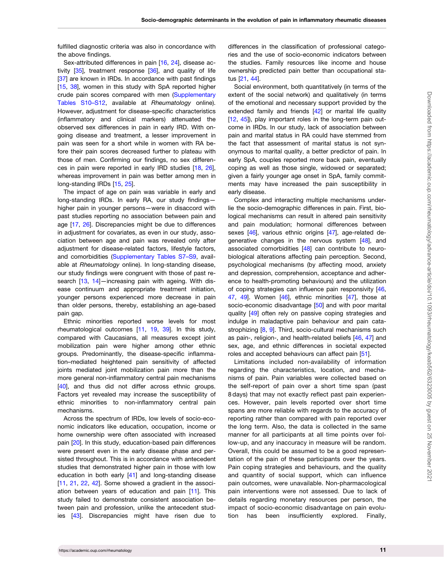<span id="page-10-0"></span>fulfilled diagnostic criteria was also in concordance with the above findings.

Sex-attributed differences in pain [\[16,](#page-12-0) [24](#page-12-0)], disease activity  $[35]$  $[35]$ , treatment response  $[36]$  $[36]$  $[36]$ , and quality of life [[37\]](#page-13-0) are known in IRDs. In accordance with past findings [[15,](#page-12-0) [38](#page-13-0)], women in this study with SpA reported higher crude pain scores compared with men ([Supplementary](https://academic.oup.com/rheumatology/article-lookup/doi/10.1093/rheumatology/keab562#supplementary-data) [Tables S10–S12](https://academic.oup.com/rheumatology/article-lookup/doi/10.1093/rheumatology/keab562#supplementary-data), available at Rheumatology online). However, adjustment for disease-specific characteristics (inflammatory and clinical markers) attenuated the observed sex differences in pain in early IRD. With ongoing disease and treatment, a lesser improvement in pain was seen for a short while in women with RA before their pain scores decreased further to plateau with those of men. Confirming our findings, no sex differences in pain were reported in early IRD studies [\[18,](#page-12-0) [26](#page-12-0)], whereas improvement in pain was better among men in long-standing IRDs [[15](#page-12-0), [25\]](#page-12-0).

The impact of age on pain was variable in early and long-standing IRDs. In early RA, our study findings higher pain in younger persons—were in disaccord with past studies reporting no association between pain and age [\[17](#page-12-0), [26\]](#page-12-0). Discrepancies might be due to differences in adjustment for covariates, as even in our study, association between age and pain was revealed only after adjustment for disease-related factors, lifestyle factors, and comorbidities [\(Supplementary Tables S7–S9,](https://academic.oup.com/rheumatology/article-lookup/doi/10.1093/rheumatology/keab562#supplementary-data) available at Rheumatology online). In long-standing disease, our study findings were congruent with those of past re-search [\[13,](#page-12-0) [14](#page-12-0)]—increasing pain with ageing. With disease continuum and appropriate treatment initiation, younger persons experienced more decrease in pain than older persons, thereby, establishing an age-based pain gap.

Ethnic minorities reported worse levels for most rheumatological outcomes [\[11,](#page-12-0) [19,](#page-12-0) [39\]](#page-13-0). In this study, compared with Caucasians, all measures except joint mobilization pain were higher among other ethnic groups. Predominantly, the disease-specific inflammation–mediated heightened pain sensitivity of affected joints mediated joint mobilization pain more than the more general non-inflammatory central pain mechanisms [[40\]](#page-13-0), and thus did not differ across ethnic groups. Factors yet revealed may increase the susceptibility of ethnic minorities to non-inflammatory central pain mechanisms.

Across the spectrum of IRDs, low levels of socio-economic indicators like education, occupation, income or home ownership were often associated with increased pain [[20\]](#page-12-0). In this study, education-based pain differences were present even in the early disease phase and persisted throughout. This is in accordance with antecedent studies that demonstrated higher pain in those with low education in both early [[41](#page-13-0)] and long-standing disease [[11,](#page-12-0) [21](#page-12-0), [22](#page-12-0), [42](#page-13-0)]. Some showed a gradient in the association between years of education and pain [\[11](#page-12-0)]. This study failed to demonstrate consistent association between pain and profession, unlike the antecedent studies [[43\]](#page-13-0). Discrepancies might have risen due to

differences in the classification of professional categories and the use of socio-economic indicators between the studies. Family resources like income and house ownership predicted pain better than occupational status [\[21,](#page-12-0) [44](#page-13-0)].

Social environment, both quantitatively (in terms of the extent of the social network) and qualitatively (in terms of the emotional and necessary support provided by the extended family and friends [[42\]](#page-13-0) or marital life quality [[12](#page-12-0), [45](#page-13-0)]), play important roles in the long-term pain outcome in IRDs. In our study, lack of association between pain and marital status in RA could have stemmed from the fact that assessment of marital status is not synonymous to marital quality, a better predictor of pain. In early SpA, couples reported more back pain, eventually coping as well as those single, widowed or separated; given a fairly younger age onset in SpA, family commitments may have increased the pain susceptibility in early disease.

Complex and interacting multiple mechanisms underlie the socio-demographic differences in pain. First, biological mechanisms can result in altered pain sensitivity and pain modulation; hormonal differences between sexes [[46\]](#page-13-0), various ethnic origins [\[47\]](#page-13-0), age-related de-generative changes in the nervous system [[48](#page-13-0)], and associated comorbidities [[48](#page-13-0)] can contribute to neurobiological alterations affecting pain perception. Second, psychological mechanisms (by affecting mood, anxiety and depression, comprehension, acceptance and adherence to health-promoting behaviours) and the utilization of coping strategies can influence pain responsivity [\[46,](#page-13-0) [47](#page-13-0), [49](#page-13-0)]. Women [[46](#page-13-0)], ethnic minorities [[47](#page-13-0)], those at socio-economic disadvantage [\[50\]](#page-13-0) and with poor marital quality [[49](#page-13-0)] often rely on passive coping strategies and indulge in maladaptive pain behaviour and pain cata-strophizing [[8](#page-12-0), [9](#page-12-0)]. Third, socio-cultural mechanisms such as pain-, religion-, and health-related beliefs [\[46,](#page-13-0) [47](#page-13-0)] and sex, age, and ethnic differences in societal expected roles and accepted behaviours can affect pain [\[51\]](#page-13-0).

Limitations included non-availability of information regarding the characteristics, location, and mechanisms of pain. Pain variables were collected based on the self-report of pain over a short time span (past 8 days) that may not exactly reflect past pain experiences. However, pain levels reported over short time spans are more reliable with regards to the accuracy of reporting rather than compared with pain reported over the long term. Also, the data is collected in the same manner for all participants at all time points over follow-up, and any inaccuracy in measure will be random. Overall, this could be assumed to be a good representation of the pain of these participants over the years. Pain coping strategies and behaviours, and the quality and quantity of social support, which can influence pain outcomes, were unavailable. Non-pharmacological pain interventions were not assessed. Due to lack of details regarding monetary resources per person, the impact of socio-economic disadvantage on pain evolution has been insufficiently explored. Finally,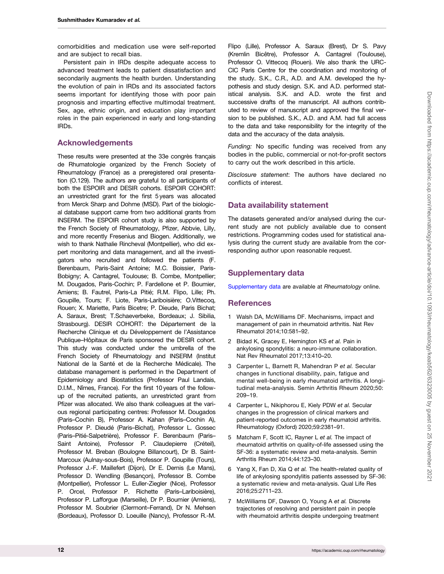<span id="page-11-0"></span>comorbidities and medication use were self-reported and are subject to recall bias.

Persistent pain in IRDs despite adequate access to advanced treatment leads to patient dissatisfaction and secondarily augments the health burden. Understanding the evolution of pain in IRDs and its associated factors seems important for identifying those with poor pain prognosis and imparting effective multimodal treatment. Sex, age, ethnic origin, and education play important roles in the pain experienced in early and long-standing IRDs.

# Acknowledgements

These results were presented at the 33e congrès français de Rhumatologie organized by the French Society of Rheumatology (France) as a preregistered oral presentation (O.129). The authors are grateful to all participants of both the ESPOIR and DESIR cohorts. ESPOIR COHORT: an unrestricted grant for the first 5 years was allocated from Merck Sharp and Dohme (MSD). Part of the biological database support came from two additional grants from INSERM. The ESPOIR cohort study is also supported by the French Society of Rheumatology, Pfizer, Abbvie, Lilly, and more recently Fresenius and Biogen. Additionally, we wish to thank Nathalie Rincheval (Montpellier), who did expert monitoring and data management, and all the investigators who recruited and followed the patients (F. Berenbaum, Paris-Saint Antoine; M.C. Boissier, Paris-Bobigny; A. Cantagrel, Toulouse; B. Combe, Montpellier; M. Dougados, Paris-Cochin; P. Fardellone et P. Boumier, Amiens; B. Fautrel, Paris-La Pitié; R.M. Flipo, Lille; Ph. Goupille, Tours; F. Liote, Paris-Lariboisière; O.Vittecoq, Rouen; X. Mariette, Paris Bicetre; P. Dieude, Paris Bichat; A. Saraux, Brest; T.Schaeverbeke, Bordeaux; J. Sibilia, Strasbourg). DESIR COHORT: the Département de la Recherche Clinique et du Développement de l'Assistance Publique–Hôpitaux de Paris sponsored the DESIR cohort. This study was conducted under the umbrella of the French Society of Rheumatology and INSERM (Institut National de la Santé et de la Recherche Médicale). The database management is performed in the Department of Epidemiology and Biostatistics (Professor Paul Landais, D.I.M., Nîmes, France). For the first 10 years of the followup of the recruited patients, an unrestricted grant from Pfizer was allocated. We also thank colleagues at the various regional participating centres: Professor M. Dougados (Paris–Cochin B), Professor A. Kahan (Paris–Cochin A), Professor P. Dieudé (Paris–Bichat), Professor L. Gossec (Paris–Pitié-Salpetrière), Professor F. Berenbaum (Paris– Saint Antoine), Professor P. Claudepierre (Créteil), Professor M. Breban (Boulogne Billancourt), Dr B. Saint-Marcoux (Aulnay-sous-Bois), Professor P. Goupille (Tours), Professor J.-F. Maillefert (Dijon), Dr E. Dernis (Le Mans), Professor D. Wendling (Besancon), Professor B. Combe (Montpellier), Professor L. Euller-Ziegler (Nice), Professor P. Orcel, Professor P. Richette (Paris–Lariboisière), Professor P. Lafforgue (Marseille), Dr P. Boumier (Amiens), Professor M. Soubrier (Clermont–Ferrand), Dr N. Mehsen (Bordeaux), Professor D. Loeuille (Nancy), Professor R.-M.

Flipo (Lille), Professor A. Saraux (Brest), Dr S. Pavy (Kremlin Bicêtre), Professor A. Cantagrel (Toulouse), Professor O. Vittecoq (Rouen). We also thank the URC-CIC Paris Centre for the coordination and monitoring of the study. S.K., C.R., A.D. and A.M. developed the hypothesis and study design. S.K. and A.D. performed statistical analysis. S.K. and A.D. wrote the first and successive drafts of the manuscript. All authors contributed to review of manuscript and approved the final version to be published. S.K., A.D. and A.M. had full access to the data and take responsibility for the integrity of the data and the accuracy of the data analysis.

Funding: No specific funding was received from any bodies in the public, commercial or not-for-profit sectors to carry out the work described in this article.

Disclosure statement: The authors have declared no conflicts of interest.

# Data availability statement

The datasets generated and/or analysed during the current study are not publicly available due to consent restrictions. Programming codes used for statistical analysis during the current study are available from the corresponding author upon reasonable request.

# Supplementary data

[Supplementary data](https://academic.oup.com/rheumatology/article-lookup/doi/10.1093/rheumatology/keab562#supplementary-data) are available at Rheumatology online.

# **References**

- [1](#page-1-0) Walsh DA, McWilliams DF. Mechanisms, impact and management of pain in rheumatoid arthritis. Nat Rev Rheumatol 2014;10:581–92.
- [2](#page-1-0) Bidad K, Gracey E, Hemington KS et al. Pain in ankylosing spondylitis: a neuro-immune collaboration. Nat Rev Rheumatol 2017;13:410–20.
- [3](#page-1-0) Carpenter L, Barnett R, Mahendran P et al. Secular changes in functional disability, pain, fatigue and mental well-being in early rheumatoid arthritis. A longitudinal meta-analysis. Semin Arthritis Rheum 2020;50: 209–19.
- [4](#page-1-0) Carpenter L, Nikiphorou E, Kiely PDW et al. Secular changes in the progression of clinical markers and patient-reported outcomes in early rheumatoid arthritis. Rheumatology (Oxford) 2020;59:2381–91.
- [5](#page-1-0) Matcham F, Scott IC, Rayner L et al. The impact of rheumatoid arthritis on quality-of-life assessed using the SF-36: a systematic review and meta-analysis. Semin Arthritis Rheum 2014;44:123–30.
- [6](#page-1-0) Yang X, Fan D, Xia Q et al. The health-related quality of life of ankylosing spondylitis patients assessed by SF-36: a systematic review and meta-analysis. Qual Life Res 2016;25:2711–23.
- [7](#page-1-0) McWilliams DF, Dawson O, Young A et al. Discrete trajectories of resolving and persistent pain in people with rheumatoid arthritis despite undergoing treatment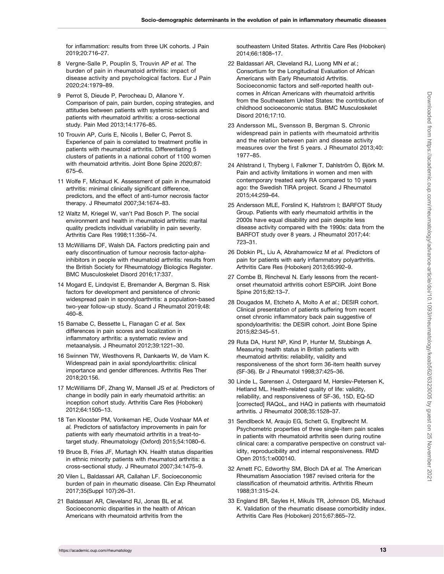<span id="page-12-0"></span>for inflammation: results from three UK cohorts. J Pain 2019;20:716–27.

- [8](#page-1-0) Vergne-Salle P, Pouplin S, Trouvin AP et al. The burden of pain in rheumatoid arthritis: impact of disease activity and psychological factors. Eur J Pain 2020;24:1979–89.
- [9](#page-1-0) Perrot S, Dieude P, Perocheau D, Allanore Y. Comparison of pain, pain burden, coping strategies, and attitudes between patients with systemic sclerosis and patients with rheumatoid arthritis: a cross-sectional study. Pain Med 2013;14:1776–85.
- [10](#page-1-0) Trouvin AP, Curis E, Nicolis I, Beller C, Perrot S. Experience of pain is correlated to treatment profile in patients with rheumatoid arthritis. Differentiating 5 clusters of patients in a national cohort of 1100 women with rheumatoid arthritis. Joint Bone Spine 2020;87: 675–6.
- [11](#page-1-0) Wolfe F, Michaud K. Assessment of pain in rheumatoid arthritis: minimal clinically significant difference, predictors, and the effect of anti-tumor necrosis factor therapy. J Rheumatol 2007;34:1674–83.
- [12](#page-1-0) Waltz M, Kriegel W, van't Pad Bosch P. The social environment and health in rheumatoid arthritis: marital quality predicts individual variability in pain severity. Arthritis Care Res 1998;11:356–74.
- [13](#page-1-0) McWilliams DF, Walsh DA. Factors predicting pain and early discontinuation of tumour necrosis factor-alphainhibitors in people with rheumatoid arthritis: results from the British Society for Rheumatology Biologics Register. BMC Musculoskelet Disord 2016;17:337.
- [14](#page-1-0) Mogard E, Lindqvist E, Bremander A, Bergman S. Risk factors for development and persistence of chronic widespread pain in spondyloarthritis: a population-based two-year follow-up study. Scand J Rheumatol 2019;48: 460–8.
- [15](#page-10-0) Barnabe C, Bessette L, Flanagan C et al. Sex differences in pain scores and localization in inflammatory arthritis: a systematic review and metaanalysis. J Rheumatol 2012;39:1221–30.
- [16](#page-10-0) Swinnen TW, Westhovens R, Dankaerts W, de Vlam K. Widespread pain in axial spondyloarthritis: clinical importance and gender differences. Arthritis Res Ther 2018;20:156.
- [17](#page-10-0) McWilliams DF, Zhang W, Mansell JS et al. Predictors of change in bodily pain in early rheumatoid arthritis: an inception cohort study. Arthritis Care Res (Hoboken) 2012;64:1505–13.
- [18](#page-1-0) Ten Klooster PM, Vonkeman HE, Oude Voshaar MA et al. Predictors of satisfactory improvements in pain for patients with early rheumatoid arthritis in a treat-totarget study. Rheumatology (Oxford) 2015;54:1080–6.
- [19](#page-1-0) Bruce B, Fries JF, Murtagh KN. Health status disparities in ethnic minority patients with rheumatoid arthritis: a cross-sectional study. J Rheumatol 2007;34:1475–9.
- [20](#page-1-0) Vilen L, Baldassari AR, Callahan LF. Socioeconomic burden of pain in rheumatic disease. Clin Exp Rheumatol 2017;35(Suppl 107):26–31.
- [21](#page-1-0) Baldassari AR, Cleveland RJ, Jonas BL et al. Socioeconomic disparities in the health of African Americans with rheumatoid arthritis from the

southeastern United States. Arthritis Care Res (Hoboken) 2014;66:1808–17.

- [22](#page-1-0) Baldassari AR, Cleveland RJ, Luong MN et al.; Consortium for the Longitudinal Evaluation of African Americans with Early Rheumatoid Arthritis. Socioeconomic factors and self-reported health outcomes in African Americans with rheumatoid arthritis from the Southeastern United States: the contribution of childhood socioeconomic status. BMC Musculoskelet Disord 2016;17:10.
- [23](#page-1-0) Andersson ML, Svensson B, Bergman S. Chronic widespread pain in patients with rheumatoid arthritis and the relation between pain and disease activity measures over the first 5 years. J Rheumatol 2013;40: 1977–85.
- [24](#page-1-0) Ahlstrand I, Thyberg I, Falkmer T, Dahlström Ö, Björk M. Pain and activity limitations in women and men with contemporary treated early RA compared to 10 years ago: the Swedish TIRA project. Scand J Rheumatol 2015;44:259–64.
- [25](#page-1-0) Andersson MLE, Forslind K, Hafstrom I; BARFOT Study Group. Patients with early rheumatoid arthritis in the 2000s have equal disability and pain despite less disease activity compared with the 1990s: data from the BARFOT study over 8 years. J Rheumatol 2017;44: 723–31.
- [26](#page-1-0) Dobkin PL, Liu A, Abrahamowicz M et al. Predictors of pain for patients with early inflammatory polyarthritis. Arthritis Care Res (Hoboken) 2013;65:992–9.
- [27](#page-1-0) Combe B, Rincheval N. Early lessons from the recentonset rheumatoid arthritis cohort ESPOIR. Joint Bone Spine 2015;82:13–7.
- [28](#page-1-0) Dougados M, Etcheto A, Molto A et al.; DESIR cohort. Clinical presentation of patients suffering from recent onset chronic inflammatory back pain suggestive of spondyloarthritis: the DESIR cohort. Joint Bone Spine 2015;82:345–51.
- [29](#page-1-0) Ruta DA, Hurst NP, Kind P, Hunter M, Stubbings A. Measuring health status in British patients with rheumatoid arthritis: reliability, validity and responsiveness of the short form 36-item health survey (SF-36). Br J Rheumatol 1998;37:425–36.
- [30](#page-1-0) Linde L, Sørensen J, Ostergaard M, Hørslev-Petersen K, Hetland ML. Health-related quality of life: validity, reliability, and responsiveness of SF-36, 15D, EQ-5D [corrected] RAQoL, and HAQ in patients with rheumatoid arthritis. J Rheumatol 2008;35:1528–37.
- [31](#page-1-0) Sendlbeck M, Araujo EG, Schett G, Englbrecht M. Psychometric properties of three single-item pain scales in patients with rheumatoid arthritis seen during routine clinical care: a comparative perspective on construct validity, reproducibility and internal responsiveness. RMD Open 2015;1:e000140.
- [32](#page-2-0) Arnett FC, Edworthy SM, Bloch DA et al. The American Rheumatism Association 1987 revised criteria for the classification of rheumatoid arthritis. Arthritis Rheum 1988;31:315–24.
- [33](#page-2-0) England BR, Sayles H, Mikuls TR, Johnson DS, Michaud K. Validation of the rheumatic disease comorbidity index. Arthritis Care Res (Hoboken) 2015;67:865–72.